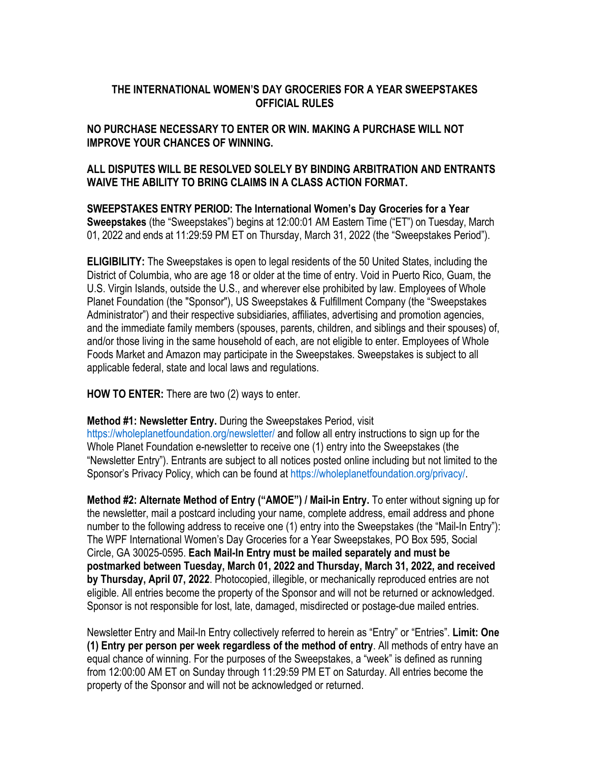# **THE INTERNATIONAL WOMEN'S DAY GROCERIES FOR A YEAR SWEEPSTAKES OFFICIAL RULES**

#### **NO PURCHASE NECESSARY TO ENTER OR WIN. MAKING A PURCHASE WILL NOT IMPROVE YOUR CHANCES OF WINNING.**

# **ALL DISPUTES WILL BE RESOLVED SOLELY BY BINDING ARBITRATION AND ENTRANTS WAIVE THE ABILITY TO BRING CLAIMS IN A CLASS ACTION FORMAT.**

**SWEEPSTAKES ENTRY PERIOD: The International Women's Day Groceries for a Year Sweepstakes** (the "Sweepstakes") begins at 12:00:01 AM Eastern Time ("ET") on Tuesday, March 01, 2022 and ends at 11:29:59 PM ET on Thursday, March 31, 2022 (the "Sweepstakes Period").

**ELIGIBILITY:** The Sweepstakes is open to legal residents of the 50 United States, including the District of Columbia, who are age 18 or older at the time of entry. Void in Puerto Rico, Guam, the U.S. Virgin Islands, outside the U.S., and wherever else prohibited by law. Employees of Whole Planet Foundation (the "Sponsor"), US Sweepstakes & Fulfillment Company (the "Sweepstakes Administrator") and their respective subsidiaries, affiliates, advertising and promotion agencies, and the immediate family members (spouses, parents, children, and siblings and their spouses) of, and/or those living in the same household of each, are not eligible to enter. Employees of Whole Foods Market and Amazon may participate in the Sweepstakes. Sweepstakes is subject to all applicable federal, state and local laws and regulations.

**HOW TO ENTER:** There are two (2) ways to enter.

**Method #1: Newsletter Entry.** During the Sweepstakes Period, visit

https://wholeplanetfoundation.org/newsletter/ and follow all entry instructions to sign up for the Whole Planet Foundation e-newsletter to receive one (1) entry into the Sweepstakes (the "Newsletter Entry"). Entrants are subject to all notices posted online including but not limited to the Sponsor's Privacy Policy, which can be found at https://wholeplanetfoundation.org/privacy/.

**Method #2: Alternate Method of Entry ("AMOE") / Mail-in Entry.** To enter without signing up for the newsletter, mail a postcard including your name, complete address, email address and phone number to the following address to receive one (1) entry into the Sweepstakes (the "Mail-In Entry"): The WPF International Women's Day Groceries for a Year Sweepstakes, PO Box 595, Social Circle, GA 30025-0595. **Each Mail-In Entry must be mailed separately and must be postmarked between Tuesday, March 01, 2022 and Thursday, March 31, 2022, and received by Thursday, April 07, 2022**. Photocopied, illegible, or mechanically reproduced entries are not eligible. All entries become the property of the Sponsor and will not be returned or acknowledged. Sponsor is not responsible for lost, late, damaged, misdirected or postage-due mailed entries.

Newsletter Entry and Mail-In Entry collectively referred to herein as "Entry" or "Entries". **Limit: One (1) Entry per person per week regardless of the method of entry**. All methods of entry have an equal chance of winning. For the purposes of the Sweepstakes, a "week" is defined as running from 12:00:00 AM ET on Sunday through 11:29:59 PM ET on Saturday. All entries become the property of the Sponsor and will not be acknowledged or returned.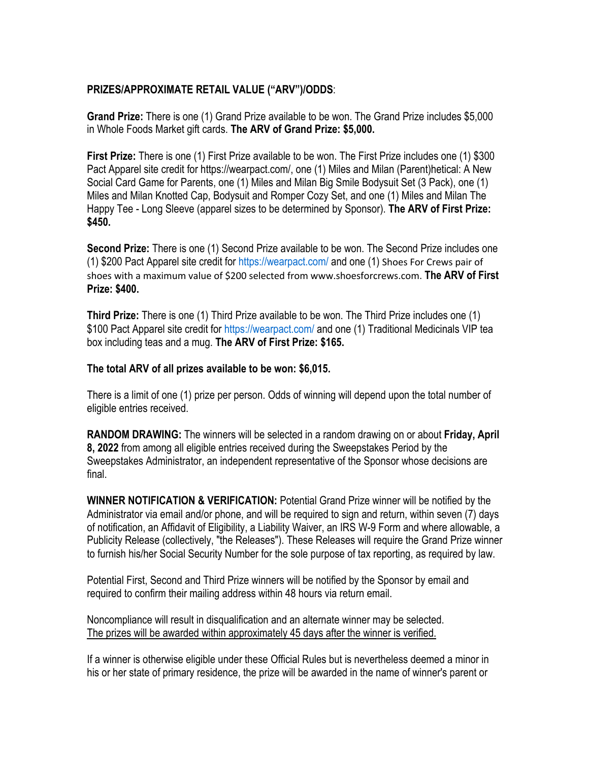# **PRIZES/APPROXIMATE RETAIL VALUE ("ARV")/ODDS**:

**Grand Prize:** There is one (1) Grand Prize available to be won. The Grand Prize includes \$5,000 in Whole Foods Market gift cards. **The ARV of Grand Prize: \$5,000.** 

**First Prize:** There is one (1) First Prize available to be won. The First Prize includes one (1) \$300 Pact Apparel site credit for https://wearpact.com/, one (1) Miles and Milan (Parent)hetical: A New Social Card Game for Parents, one (1) Miles and Milan Big Smile Bodysuit Set (3 Pack), one (1) Miles and Milan Knotted Cap, Bodysuit and Romper Cozy Set, and one (1) Miles and Milan The Happy Tee - Long Sleeve (apparel sizes to be determined by Sponsor). **The ARV of First Prize: \$450.**

**Second Prize:** There is one (1) Second Prize available to be won. The Second Prize includes one (1) \$200 Pact Apparel site credit for https://wearpact.com/ and one (1) Shoes For Crews pair of shoes with a maximum value of \$200 selected from www.shoesforcrews.com. **The ARV of First Prize: \$400.**

**Third Prize:** There is one (1) Third Prize available to be won. The Third Prize includes one (1) \$100 Pact Apparel site credit for https://wearpact.com/ and one (1) Traditional Medicinals VIP tea box including teas and a mug. **The ARV of First Prize: \$165.**

### **The total ARV of all prizes available to be won: \$6,015.**

There is a limit of one (1) prize per person. Odds of winning will depend upon the total number of eligible entries received.

**RANDOM DRAWING:** The winners will be selected in a random drawing on or about **Friday, April 8, 2022** from among all eligible entries received during the Sweepstakes Period by the Sweepstakes Administrator, an independent representative of the Sponsor whose decisions are final.

**WINNER NOTIFICATION & VERIFICATION:** Potential Grand Prize winner will be notified by the Administrator via email and/or phone, and will be required to sign and return, within seven (7) days of notification, an Affidavit of Eligibility, a Liability Waiver, an IRS W-9 Form and where allowable, a Publicity Release (collectively, "the Releases"). These Releases will require the Grand Prize winner to furnish his/her Social Security Number for the sole purpose of tax reporting, as required by law.

Potential First, Second and Third Prize winners will be notified by the Sponsor by email and required to confirm their mailing address within 48 hours via return email.

Noncompliance will result in disqualification and an alternate winner may be selected. The prizes will be awarded within approximately 45 days after the winner is verified.

If a winner is otherwise eligible under these Official Rules but is nevertheless deemed a minor in his or her state of primary residence, the prize will be awarded in the name of winner's parent or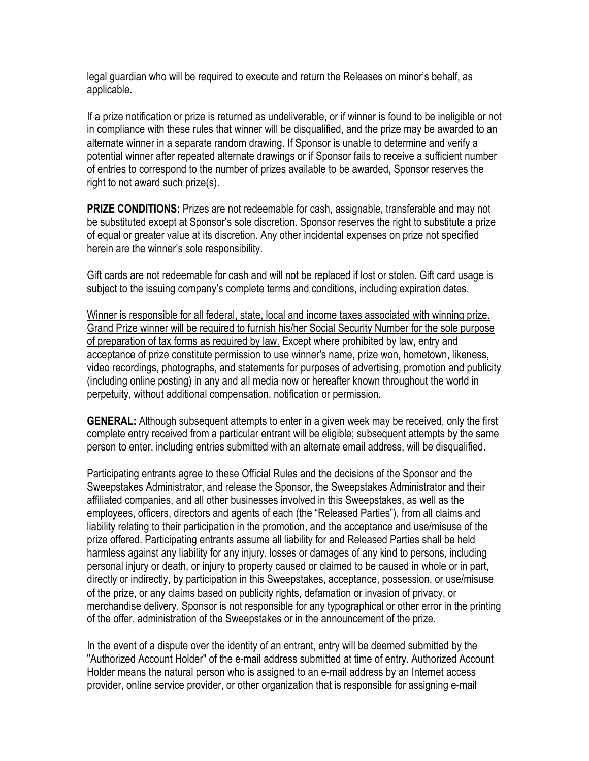legal guardian who will be required to execute and return the Releases on minor's behalf, as applicable.

If a prize notification or prize is returned as undeliverable, or if winner is found to be ineligible or not in compliance with these rules that winner will be disqualified, and the prize may be awarded to an alternate winner in a separate random drawing. If Sponsor is unable to determine and verify a potential winner after repeated alternate drawings or if Sponsor fails to receive a sufficient number of entries to correspond to the number of prizes available to be awarded, Sponsor reserves the right to not award such prize(s).

**PRIZE CONDITIONS:** Prizes are not redeemable for cash, assignable, transferable and may not be substituted except at Sponsor's sole discretion. Sponsor reserves the right to substitute a prize of equal or greater value at its discretion. Any other incidental expenses on prize not specified herein are the winner's sole responsibility.

Gift cards are not redeemable for cash and will not be replaced if lost or stolen. Gift card usage is subject to the issuing company's complete terms and conditions, including expiration dates.

Winner is responsible for all federal, state, local and income taxes associated with winning prize. Grand Prize winner will be required to furnish his/her Social Security Number for the sole purpose of preparation of tax forms as required by law. Except where prohibited by law, entry and acceptance of prize constitute permission to use winner's name, prize won, hometown, likeness, video recordings, photographs, and statements for purposes of advertising, promotion and publicity (including online posting) in any and all media now or hereafter known throughout the world in perpetuity, without additional compensation, notification or permission.

**GENERAL:** Although subsequent attempts to enter in a given week may be received, only the first complete entry received from a particular entrant will be eligible; subsequent attempts by the same person to enter, including entries submitted with an alternate email address, will be disqualified.

Participating entrants agree to these Official Rules and the decisions of the Sponsor and the Sweepstakes Administrator, and release the Sponsor, the Sweepstakes Administrator and their affiliated companies, and all other businesses involved in this Sweepstakes, as well as the employees, officers, directors and agents of each (the "Released Parties"), from all claims and liability relating to their participation in the promotion, and the acceptance and use/misuse of the prize offered. Participating entrants assume all liability for and Released Parties shall be held harmless against any liability for any injury, losses or damages of any kind to persons, including personal injury or death, or injury to property caused or claimed to be caused in whole or in part, directly or indirectly, by participation in this Sweepstakes, acceptance, possession, or use/misuse of the prize, or any claims based on publicity rights, defamation or invasion of privacy, or merchandise delivery. Sponsor is not responsible for any typographical or other error in the printing of the offer, administration of the Sweepstakes or in the announcement of the prize.

In the event of a dispute over the identity of an entrant, entry will be deemed submitted by the "Authorized Account Holder" of the e-mail address submitted at time of entry. Authorized Account Holder means the natural person who is assigned to an e-mail address by an Internet access provider, online service provider, or other organization that is responsible for assigning e-mail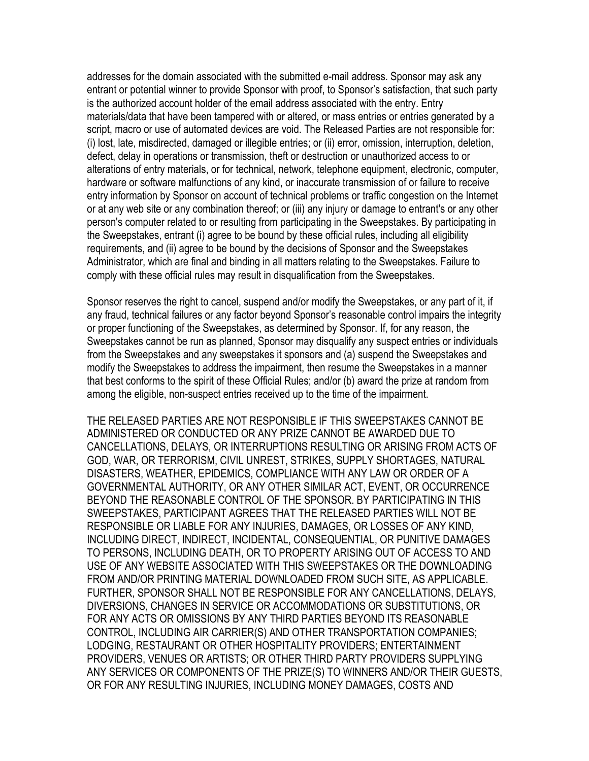addresses for the domain associated with the submitted e-mail address. Sponsor may ask any entrant or potential winner to provide Sponsor with proof, to Sponsor's satisfaction, that such party is the authorized account holder of the email address associated with the entry. Entry materials/data that have been tampered with or altered, or mass entries or entries generated by a script, macro or use of automated devices are void. The Released Parties are not responsible for: (i) lost, late, misdirected, damaged or illegible entries; or (ii) error, omission, interruption, deletion, defect, delay in operations or transmission, theft or destruction or unauthorized access to or alterations of entry materials, or for technical, network, telephone equipment, electronic, computer, hardware or software malfunctions of any kind, or inaccurate transmission of or failure to receive entry information by Sponsor on account of technical problems or traffic congestion on the Internet or at any web site or any combination thereof; or (iii) any injury or damage to entrant's or any other person's computer related to or resulting from participating in the Sweepstakes. By participating in the Sweepstakes, entrant (i) agree to be bound by these official rules, including all eligibility requirements, and (ii) agree to be bound by the decisions of Sponsor and the Sweepstakes Administrator, which are final and binding in all matters relating to the Sweepstakes. Failure to comply with these official rules may result in disqualification from the Sweepstakes.

Sponsor reserves the right to cancel, suspend and/or modify the Sweepstakes, or any part of it, if any fraud, technical failures or any factor beyond Sponsor's reasonable control impairs the integrity or proper functioning of the Sweepstakes, as determined by Sponsor. If, for any reason, the Sweepstakes cannot be run as planned, Sponsor may disqualify any suspect entries or individuals from the Sweepstakes and any sweepstakes it sponsors and (a) suspend the Sweepstakes and modify the Sweepstakes to address the impairment, then resume the Sweepstakes in a manner that best conforms to the spirit of these Official Rules; and/or (b) award the prize at random from among the eligible, non-suspect entries received up to the time of the impairment.

THE RELEASED PARTIES ARE NOT RESPONSIBLE IF THIS SWEEPSTAKES CANNOT BE ADMINISTERED OR CONDUCTED OR ANY PRIZE CANNOT BE AWARDED DUE TO CANCELLATIONS, DELAYS, OR INTERRUPTIONS RESULTING OR ARISING FROM ACTS OF GOD, WAR, OR TERRORISM, CIVIL UNREST, STRIKES, SUPPLY SHORTAGES, NATURAL DISASTERS, WEATHER, EPIDEMICS, COMPLIANCE WITH ANY LAW OR ORDER OF A GOVERNMENTAL AUTHORITY, OR ANY OTHER SIMILAR ACT, EVENT, OR OCCURRENCE BEYOND THE REASONABLE CONTROL OF THE SPONSOR. BY PARTICIPATING IN THIS SWEEPSTAKES, PARTICIPANT AGREES THAT THE RELEASED PARTIES WILL NOT BE RESPONSIBLE OR LIABLE FOR ANY INJURIES, DAMAGES, OR LOSSES OF ANY KIND, INCLUDING DIRECT, INDIRECT, INCIDENTAL, CONSEQUENTIAL, OR PUNITIVE DAMAGES TO PERSONS, INCLUDING DEATH, OR TO PROPERTY ARISING OUT OF ACCESS TO AND USE OF ANY WEBSITE ASSOCIATED WITH THIS SWEEPSTAKES OR THE DOWNLOADING FROM AND/OR PRINTING MATERIAL DOWNLOADED FROM SUCH SITE, AS APPLICABLE. FURTHER, SPONSOR SHALL NOT BE RESPONSIBLE FOR ANY CANCELLATIONS, DELAYS, DIVERSIONS, CHANGES IN SERVICE OR ACCOMMODATIONS OR SUBSTITUTIONS, OR FOR ANY ACTS OR OMISSIONS BY ANY THIRD PARTIES BEYOND ITS REASONABLE CONTROL, INCLUDING AIR CARRIER(S) AND OTHER TRANSPORTATION COMPANIES; LODGING, RESTAURANT OR OTHER HOSPITALITY PROVIDERS; ENTERTAINMENT PROVIDERS, VENUES OR ARTISTS; OR OTHER THIRD PARTY PROVIDERS SUPPLYING ANY SERVICES OR COMPONENTS OF THE PRIZE(S) TO WINNERS AND/OR THEIR GUESTS, OR FOR ANY RESULTING INJURIES, INCLUDING MONEY DAMAGES, COSTS AND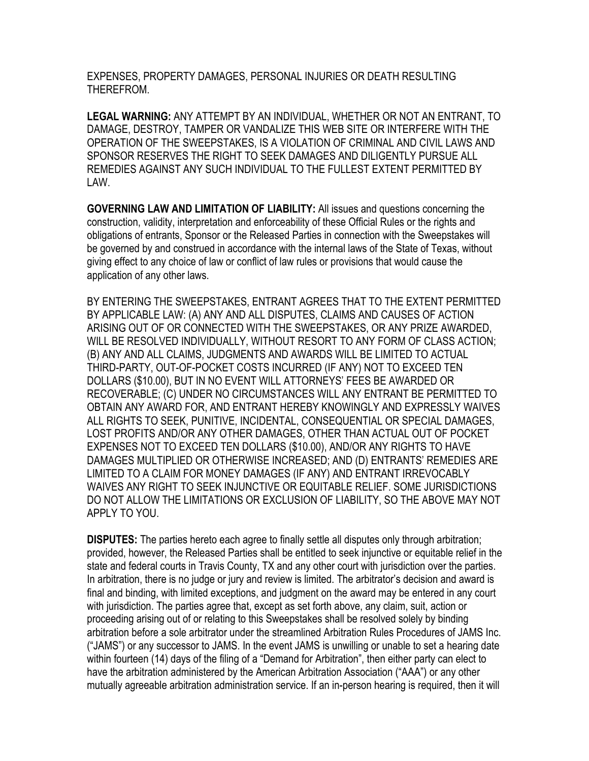EXPENSES, PROPERTY DAMAGES, PERSONAL INJURIES OR DEATH RESULTING THEREFROM.

**LEGAL WARNING:** ANY ATTEMPT BY AN INDIVIDUAL, WHETHER OR NOT AN ENTRANT, TO DAMAGE, DESTROY, TAMPER OR VANDALIZE THIS WEB SITE OR INTERFERE WITH THE OPERATION OF THE SWEEPSTAKES, IS A VIOLATION OF CRIMINAL AND CIVIL LAWS AND SPONSOR RESERVES THE RIGHT TO SEEK DAMAGES AND DILIGENTLY PURSUE ALL REMEDIES AGAINST ANY SUCH INDIVIDUAL TO THE FULLEST EXTENT PERMITTED BY LAW.

**GOVERNING LAW AND LIMITATION OF LIABILITY:** All issues and questions concerning the construction, validity, interpretation and enforceability of these Official Rules or the rights and obligations of entrants, Sponsor or the Released Parties in connection with the Sweepstakes will be governed by and construed in accordance with the internal laws of the State of Texas, without giving effect to any choice of law or conflict of law rules or provisions that would cause the application of any other laws.

BY ENTERING THE SWEEPSTAKES, ENTRANT AGREES THAT TO THE EXTENT PERMITTED BY APPLICABLE LAW: (A) ANY AND ALL DISPUTES, CLAIMS AND CAUSES OF ACTION ARISING OUT OF OR CONNECTED WITH THE SWEEPSTAKES, OR ANY PRIZE AWARDED, WILL BE RESOLVED INDIVIDUALLY, WITHOUT RESORT TO ANY FORM OF CLASS ACTION; (B) ANY AND ALL CLAIMS, JUDGMENTS AND AWARDS WILL BE LIMITED TO ACTUAL THIRD-PARTY, OUT-OF-POCKET COSTS INCURRED (IF ANY) NOT TO EXCEED TEN DOLLARS (\$10.00), BUT IN NO EVENT WILL ATTORNEYS' FEES BE AWARDED OR RECOVERABLE; (C) UNDER NO CIRCUMSTANCES WILL ANY ENTRANT BE PERMITTED TO OBTAIN ANY AWARD FOR, AND ENTRANT HEREBY KNOWINGLY AND EXPRESSLY WAIVES ALL RIGHTS TO SEEK, PUNITIVE, INCIDENTAL, CONSEQUENTIAL OR SPECIAL DAMAGES, LOST PROFITS AND/OR ANY OTHER DAMAGES, OTHER THAN ACTUAL OUT OF POCKET EXPENSES NOT TO EXCEED TEN DOLLARS (\$10.00), AND/OR ANY RIGHTS TO HAVE DAMAGES MULTIPLIED OR OTHERWISE INCREASED; AND (D) ENTRANTS' REMEDIES ARE LIMITED TO A CLAIM FOR MONEY DAMAGES (IF ANY) AND ENTRANT IRREVOCABLY WAIVES ANY RIGHT TO SEEK INJUNCTIVE OR EQUITABLE RELIEF. SOME JURISDICTIONS DO NOT ALLOW THE LIMITATIONS OR EXCLUSION OF LIABILITY, SO THE ABOVE MAY NOT APPLY TO YOU.

**DISPUTES:** The parties hereto each agree to finally settle all disputes only through arbitration; provided, however, the Released Parties shall be entitled to seek injunctive or equitable relief in the state and federal courts in Travis County, TX and any other court with jurisdiction over the parties. In arbitration, there is no judge or jury and review is limited. The arbitrator's decision and award is final and binding, with limited exceptions, and judgment on the award may be entered in any court with jurisdiction. The parties agree that, except as set forth above, any claim, suit, action or proceeding arising out of or relating to this Sweepstakes shall be resolved solely by binding arbitration before a sole arbitrator under the streamlined Arbitration Rules Procedures of JAMS Inc. ("JAMS") or any successor to JAMS. In the event JAMS is unwilling or unable to set a hearing date within fourteen (14) days of the filing of a "Demand for Arbitration", then either party can elect to have the arbitration administered by the American Arbitration Association ("AAA") or any other mutually agreeable arbitration administration service. If an in-person hearing is required, then it will